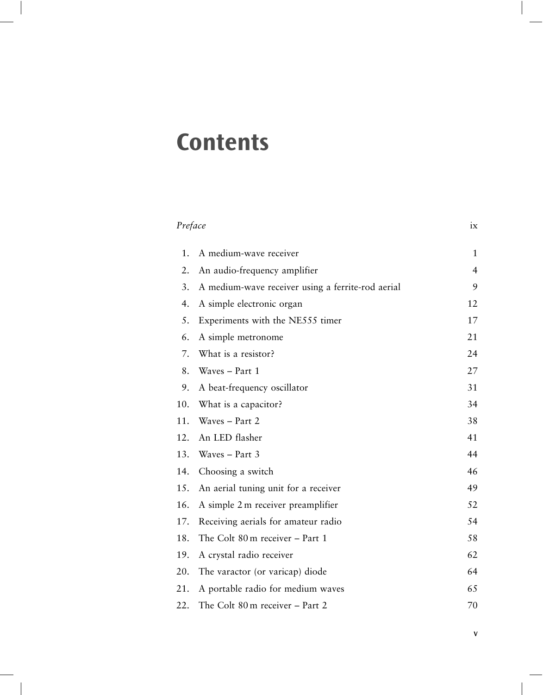## **Contents**

|     | Preface                                           |                |
|-----|---------------------------------------------------|----------------|
| 1.  | A medium-wave receiver                            | 1              |
| 2.  | An audio-frequency amplifier                      | $\overline{4}$ |
| 3.  | A medium-wave receiver using a ferrite-rod aerial | 9              |
| 4.  | A simple electronic organ                         | 12             |
| 5.  | Experiments with the NE555 timer                  | 17             |
| 6.  | A simple metronome                                | 21             |
| 7.  | What is a resistor?                               | 24             |
| 8.  | Waves - Part 1                                    | 27             |
| 9.  | A beat-frequency oscillator                       | 31             |
| 10. | What is a capacitor?                              | 34             |
| 11. | Waves - Part 2                                    | 38             |
| 12. | An LED flasher                                    | 41             |
| 13. | Waves $-$ Part 3                                  | 44             |
| 14. | Choosing a switch                                 | 46             |
| 15. | An aerial tuning unit for a receiver              | 49             |
| 16. | A simple 2 m receiver preamplifier                | 52             |
| 17. | Receiving aerials for amateur radio               | 54             |
| 18. | The Colt 80 m receiver - Part 1                   | 58             |
| 19. | A crystal radio receiver                          | 62             |
| 20. | The varactor (or varicap) diode                   | 64             |
| 21. | A portable radio for medium waves                 | 65             |
| 22. | The Colt 80 m receiver - Part 2                   | 70             |
|     |                                                   |                |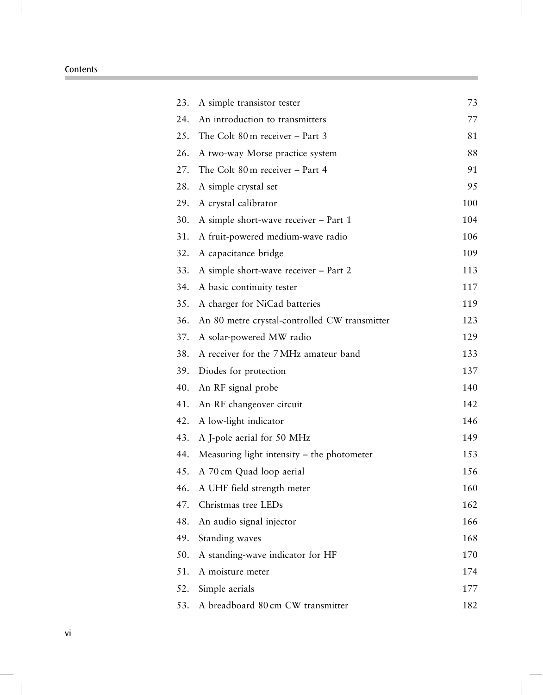| 23. | A simple transistor tester                    | 73  |
|-----|-----------------------------------------------|-----|
| 24. | An introduction to transmitters               | 77  |
| 25. | The Colt $80 \text{ m}$ receiver $-$ Part 3   | 81  |
| 26. | A two-way Morse practice system               | 88  |
| 27. | The Colt 80 m receiver - Part 4               | 91  |
| 28. | A simple crystal set                          | 95  |
| 29. | A crystal calibrator                          | 100 |
| 30. | A simple short-wave receiver – Part 1         | 104 |
| 31. | A fruit-powered medium-wave radio             | 106 |
| 32. | A capacitance bridge                          | 109 |
| 33. | A simple short-wave receiver - Part 2         | 113 |
| 34. | A basic continuity tester                     | 117 |
| 35. | A charger for NiCad batteries                 | 119 |
| 36. | An 80 metre crystal-controlled CW transmitter | 123 |
| 37. | A solar-powered MW radio                      | 129 |
| 38. | A receiver for the 7 MHz amateur band         | 133 |
| 39. | Diodes for protection                         | 137 |
| 40. | An RF signal probe                            | 140 |
| 41. | An RF changeover circuit                      | 142 |
| 42. | A low-light indicator                         | 146 |
| 43. | A J-pole aerial for 50 MHz                    | 149 |
| 44. | Measuring light intensity - the photometer    | 153 |
| 45. | A 70 cm Quad loop aerial                      | 156 |
| 46. | A UHF field strength meter                    | 160 |
| 47. | Christmas tree LEDs                           | 162 |
| 48. | An audio signal injector                      | 166 |
| 49. | Standing waves                                | 168 |
| 50. | A standing-wave indicator for HF              | 170 |
| 51. | A moisture meter                              | 174 |
| 52. | Simple aerials                                | 177 |
| 53. | A breadboard 80 cm CW transmitter             | 182 |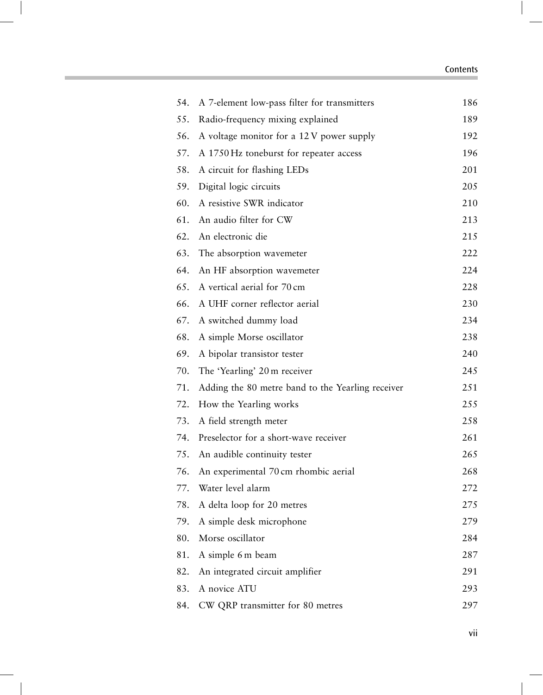| 54. | A 7-element low-pass filter for transmitters      | 186 |
|-----|---------------------------------------------------|-----|
| 55. | Radio-frequency mixing explained                  | 189 |
| 56. | A voltage monitor for a 12V power supply          | 192 |
| 57. | A 1750 Hz toneburst for repeater access           | 196 |
| 58. | A circuit for flashing LEDs                       | 201 |
| 59. | Digital logic circuits                            | 205 |
| 60. | A resistive SWR indicator                         | 210 |
| 61. | An audio filter for CW                            | 213 |
| 62. | An electronic die                                 | 215 |
| 63. | The absorption wavemeter                          | 222 |
| 64. | An HF absorption wavemeter                        | 224 |
| 65. | A vertical aerial for 70 cm                       | 228 |
| 66. | A UHF corner reflector aerial                     | 230 |
| 67. | A switched dummy load                             | 234 |
| 68. | A simple Morse oscillator                         | 238 |
| 69. | A bipolar transistor tester                       | 240 |
| 70. | The 'Yearling' 20 m receiver                      | 245 |
| 71. | Adding the 80 metre band to the Yearling receiver | 251 |
| 72. | How the Yearling works                            | 255 |
| 73. | A field strength meter                            | 258 |
| 74. | Preselector for a short-wave receiver             | 261 |
| 75. | An audible continuity tester                      | 265 |
| 76. | An experimental 70 cm rhombic aerial              | 268 |
| 77. | Water level alarm                                 | 272 |
| 78. | A delta loop for 20 metres                        | 275 |
| 79. | A simple desk microphone                          | 279 |
| 80. | Morse oscillator                                  | 284 |
| 81. | A simple 6 m beam                                 | 287 |
| 82. | An integrated circuit amplifier                   | 291 |
| 83. | A novice ATU                                      | 293 |
| 84. | CW QRP transmitter for 80 metres                  | 297 |